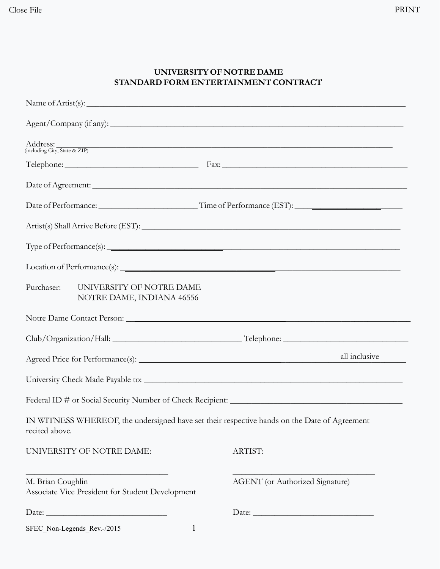## **UNIVERSITY OF NOTRE DAME STANDARD FORM ENTERTAINMENT CONTRACT**

| Address: (including City, State & ZIP)                                                                         |                                        |
|----------------------------------------------------------------------------------------------------------------|----------------------------------------|
| Telephone: Fax: Fax:                                                                                           |                                        |
| Date of Agreement:                                                                                             |                                        |
|                                                                                                                |                                        |
|                                                                                                                |                                        |
|                                                                                                                |                                        |
|                                                                                                                |                                        |
| Purchaser:<br>UNIVERSITY OF NOTRE DAME<br>NOTRE DAME, INDIANA 46556                                            |                                        |
|                                                                                                                |                                        |
|                                                                                                                |                                        |
|                                                                                                                | all inclusive                          |
|                                                                                                                |                                        |
|                                                                                                                |                                        |
| IN WITNESS WHEREOF, the undersigned have set their respective hands on the Date of Agreement<br>recited above. |                                        |
| UNIVERSITY OF NOTRE DAME:                                                                                      | <b>ARTIST:</b>                         |
| M. Brian Coughlin<br>Associate Vice President for Student Development                                          | <b>AGENT</b> (or Authorized Signature) |
|                                                                                                                |                                        |
| SFEC Non-Legends Rev.-/2015<br>$\mathbf{1}$                                                                    |                                        |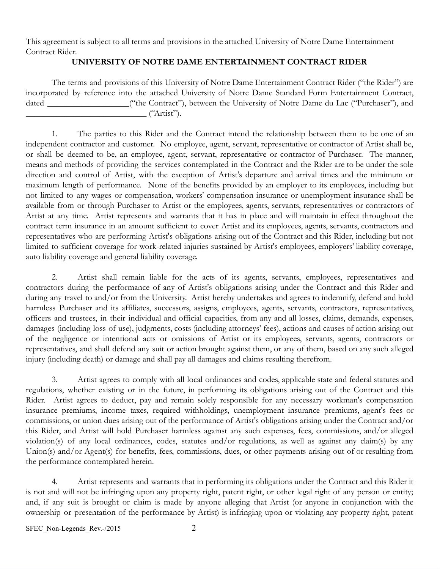This agreement is subject to all terms and provisions in the attached University of Notre Dame Entertainment Contract Rider.

## **UNIVERSITY OF NOTRE DAME ENTERTAINMENT CONTRACT RIDER**

The terms and provisions of this University of Notre Dame Entertainment Contract Rider ("the Rider") are incorporated by reference into the attached University of Notre Dame Standard Form Entertainment Contract, dated \_\_\_\_\_\_\_\_\_\_\_\_\_\_\_("the Contract"), between the University of Notre Dame du Lac ("Purchaser"), and  $("Artist").$ 

1. The parties to this Rider and the Contract intend the relationship between them to be one of an independent contractor and customer. No employee, agent, servant, representative or contractor of Artist shall be, or shall be deemed to be, an employee, agent, servant, representative or contractor of Purchaser. The manner, means and methods of providing the services contemplated in the Contract and the Rider are to be under the sole direction and control of Artist, with the exception of Artist's departure and arrival times and the minimum or maximum length of performance. None of the benefits provided by an employer to its employees, including but not limited to any wages or compensation, workers' compensation insurance or unemployment insurance shall be available from or through Purchaser to Artist or the employees, agents, servants, representatives or contractors of Artist at any time. Artist represents and warrants that it has in place and will maintain in effect throughout the contract term insurance in an amount sufficient to cover Artist and its employees, agents, servants, contractors and representatives who are performing Artist's obligations arising out of the Contract and this Rider, including but not limited to sufficient coverage for work-related injuries sustained by Artist's employees, employers' liability coverage, auto liability coverage and general liability coverage.

2. Artist shall remain liable for the acts of its agents, servants, employees, representatives and contractors during the performance of any of Artist's obligations arising under the Contract and this Rider and during any travel to and/or from the University. Artist hereby undertakes and agrees to indemnify, defend and hold harmless Purchaser and its affiliates, successors, assigns, employees, agents, servants, contractors, representatives, officers and trustees, in their individual and official capacities, from any and all losses, claims, demands, expenses, damages (including loss of use), judgments, costs (including attorneys' fees), actions and causes of action arising out of the negligence or intentional acts or omissions of Artist or its employees, servants, agents, contractors or representatives, and shall defend any suit or action brought against them, or any of them, based on any such alleged injury (including death) or damage and shall pay all damages and claims resulting therefrom.

3. Artist agrees to comply with all local ordinances and codes, applicable state and federal statutes and regulations, whether existing or in the future, in performing its obligations arising out of the Contract and this Rider. Artist agrees to deduct, pay and remain solely responsible for any necessary workman's compensation insurance premiums, income taxes, required withholdings, unemployment insurance premiums, agent's fees or commissions, or union dues arising out of the performance of Artist's obligations arising under the Contract and/or this Rider, and Artist will hold Purchaser harmless against any such expenses, fees, commissions, and/or alleged violation(s) of any local ordinances, codes, statutes and/or regulations, as well as against any claim(s) by any Union(s) and/or Agent(s) for benefits, fees, commissions, dues, or other payments arising out of or resulting from the performance contemplated herein.

4. Artist represents and warrants that in performing its obligations under the Contract and this Rider it is not and will not be infringing upon any property right, patent right, or other legal right of any person or entity; and, if any suit is brought or claim is made by anyone alleging that Artist (or anyone in conjunction with the ownership or presentation of the performance by Artist) is infringing upon or violating any property right, patent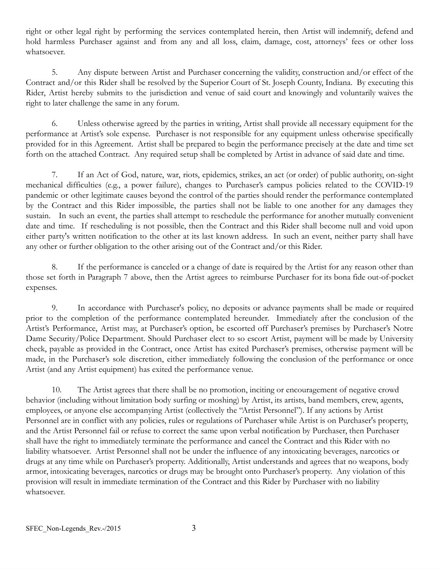right or other legal right by performing the services contemplated herein, then Artist will indemnify, defend and hold harmless Purchaser against and from any and all loss, claim, damage, cost, attorneys' fees or other loss whatsoever.

5. Any dispute between Artist and Purchaser concerning the validity, construction and/or effect of the Contract and/or this Rider shall be resolved by the Superior Court of St. Joseph County, Indiana. By executing this Rider, Artist hereby submits to the jurisdiction and venue of said court and knowingly and voluntarily waives the right to later challenge the same in any forum.

6. Unless otherwise agreed by the parties in writing, Artist shall provide all necessary equipment for the performance at Artist's sole expense. Purchaser is not responsible for any equipment unless otherwise specifically provided for in this Agreement. Artist shall be prepared to begin the performance precisely at the date and time set forth on the attached Contract. Any required setup shall be completed by Artist in advance of said date and time.

7. If an Act of God, nature, war, riots, epidemics, strikes, an act (or order) of public authority, on-sight mechanical difficulties (e.g., a power failure), changes to Purchaser's campus policies related to the COVID-19 pandemic or other legitimate causes beyond the control of the parties should render the performance contemplated by the Contract and this Rider impossible, the parties shall not be liable to one another for any damages they sustain. In such an event, the parties shall attempt to reschedule the performance for another mutually convenient date and time. If rescheduling is not possible, then the Contract and this Rider shall become null and void upon either party's written notification to the other at its last known address. In such an event, neither party shall have any other or further obligation to the other arising out of the Contract and/or this Rider.

8. If the performance is canceled or a change of date is required by the Artist for any reason other than those set forth in Paragraph 7 above, then the Artist agrees to reimburse Purchaser for its bona fide out-of-pocket expenses.

9. In accordance with Purchaser's policy, no deposits or advance payments shall be made or required prior to the completion of the performance contemplated hereunder. Immediately after the conclusion of the Artist's Performance, Artist may, at Purchaser's option, be escorted off Purchaser's premises by Purchaser's Notre Dame Security/Police Department. Should Purchaser elect to so escort Artist, payment will be made by University check, payable as provided in the Contract, once Artist has exited Purchaser's premises, otherwise payment will be made, in the Purchaser's sole discretion, either immediately following the conclusion of the performance or once Artist (and any Artist equipment) has exited the performance venue.

10. The Artist agrees that there shall be no promotion, inciting or encouragement of negative crowd behavior (including without limitation body surfing or moshing) by Artist, its artists, band members, crew, agents, employees, or anyone else accompanying Artist (collectively the "Artist Personnel"). If any actions by Artist Personnel are in conflict with any policies, rules or regulations of Purchaser while Artist is on Purchaser's property, and the Artist Personnel fail or refuse to correct the same upon verbal notification by Purchaser, then Purchaser shall have the right to immediately terminate the performance and cancel the Contract and this Rider with no liability whatsoever. Artist Personnel shall not be under the influence of any intoxicating beverages, narcotics or drugs at any time while on Purchaser's property. Additionally, Artist understands and agrees that no weapons, body armor, intoxicating beverages, narcotics or drugs may be brought onto Purchaser's property. Any violation of this provision will result in immediate termination of the Contract and this Rider by Purchaser with no liability whatsoever.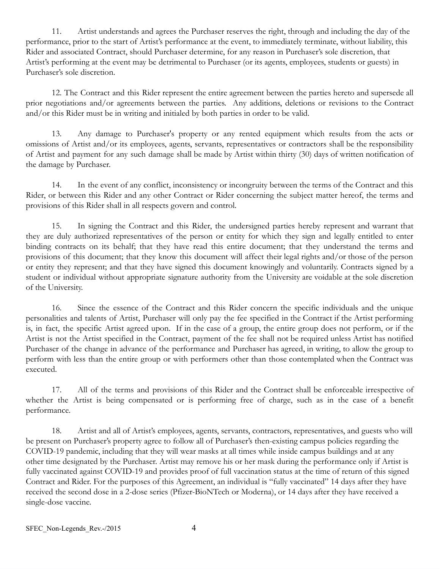11. Artist understands and agrees the Purchaser reserves the right, through and including the day of the performance, prior to the start of Artist's performance at the event, to immediately terminate, without liability, this Rider and associated Contract, should Purchaser determine, for any reason in Purchaser's sole discretion, that Artist's performing at the event may be detrimental to Purchaser (or its agents, employees, students or guests) in Purchaser's sole discretion.

12. The Contract and this Rider represent the entire agreement between the parties hereto and supersede all prior negotiations and/or agreements between the parties. Any additions, deletions or revisions to the Contract and/or this Rider must be in writing and initialed by both parties in order to be valid.

13. Any damage to Purchaser's property or any rented equipment which results from the acts or omissions of Artist and/or its employees, agents, servants, representatives or contractors shall be the responsibility of Artist and payment for any such damage shall be made by Artist within thirty (30) days of written notification of the damage by Purchaser.

14. In the event of any conflict, inconsistency or incongruity between the terms of the Contract and this Rider, or between this Rider and any other Contract or Rider concerning the subject matter hereof, the terms and provisions of this Rider shall in all respects govern and control.

15. In signing the Contract and this Rider, the undersigned parties hereby represent and warrant that they are duly authorized representatives of the person or entity for which they sign and legally entitled to enter binding contracts on its behalf; that they have read this entire document; that they understand the terms and provisions of this document; that they know this document will affect their legal rights and/or those of the person or entity they represent; and that they have signed this document knowingly and voluntarily. Contracts signed by a student or individual without appropriate signature authority from the University are voidable at the sole discretion of the University.

16. Since the essence of the Contract and this Rider concern the specific individuals and the unique personalities and talents of Artist, Purchaser will only pay the fee specified in the Contract if the Artist performing is, in fact, the specific Artist agreed upon. If in the case of a group, the entire group does not perform, or if the Artist is not the Artist specified in the Contract, payment of the fee shall not be required unless Artist has notified Purchaser of the change in advance of the performance and Purchaser has agreed, in writing, to allow the group to perform with less than the entire group or with performers other than those contemplated when the Contract was executed.

17. All of the terms and provisions of this Rider and the Contract shall be enforceable irrespective of whether the Artist is being compensated or is performing free of charge, such as in the case of a benefit performance.

18. Artist and all of Artist's employees, agents, servants, contractors, representatives, and guests who will be present on Purchaser's property agree to follow all of Purchaser's then-existing campus policies regarding the COVID-19 pandemic, including that they will wear masks at all times while inside campus buildings and at any other time designated by the Purchaser. Artist may remove his or her mask during the performance only if Artist is fully vaccinated against COVID-19 and provides proof of full vaccination status at the time of return of this signed Contract and Rider. For the purposes of this Agreement, an individual is "fully vaccinated" 14 days after they have received the second dose in a 2-dose series (Pfizer-BioNTech or Moderna), or 14 days after they have received a single-dose vaccine.